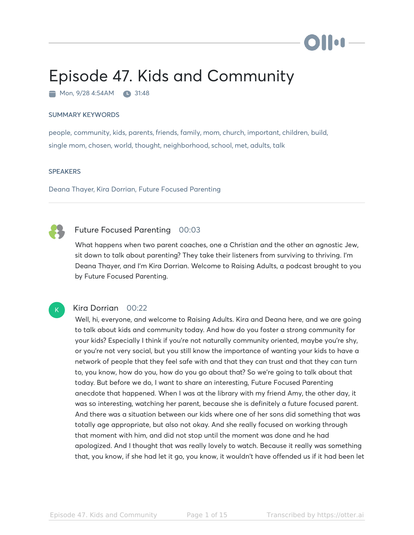# Episode 47. Kids and Community

 $\blacksquare$  Mon, 9/28 4:54AM  $\blacksquare$  31:48

#### SUMMARY KEYWORDS

people, community, kids, parents, friends, family, mom, church, important, children, build, single mom, chosen, world, thought, neighborhood, school, met, adults, talk

#### **SPEAKERS**

Deana Thayer, Kira Dorrian, Future Focused Parenting

# Future Focused Parenting 00:03

What happens when two parent coaches, one a Christian and the other an agnostic Jew, sit down to talk about parenting? They take their listeners from surviving to thriving. I'm Deana Thayer, and I'm Kira Dorrian. Welcome to Raising Adults, a podcast brought to you by Future Focused Parenting.

# $\mathsf{K}_{\scriptscriptstyle{+}}$

### Kira Dorrian 00:22

Well, hi, everyone, and welcome to Raising Adults. Kira and Deana here, and we are going to talk about kids and community today. And how do you foster a strong community for your kids? Especially I think if you're not naturally community oriented, maybe you're shy, or you're not very social, but you still know the importance of wanting your kids to have a network of people that they feel safe with and that they can trust and that they can turn to, you know, how do you, how do you go about that? So we're going to talk about that today. But before we do, I want to share an interesting, Future Focused Parenting anecdote that happened. When I was at the library with my friend Amy, the other day, it was so interesting, watching her parent, because she is definitely a future focused parent. And there was a situation between our kids where one of her sons did something that was totally age appropriate, but also not okay. And she really focused on working through that moment with him, and did not stop until the moment was done and he had apologized. And I thought that was really lovely to watch. Because it really was something that, you know, if she had let it go, you know, it wouldn't have offended us if it had been let

ilion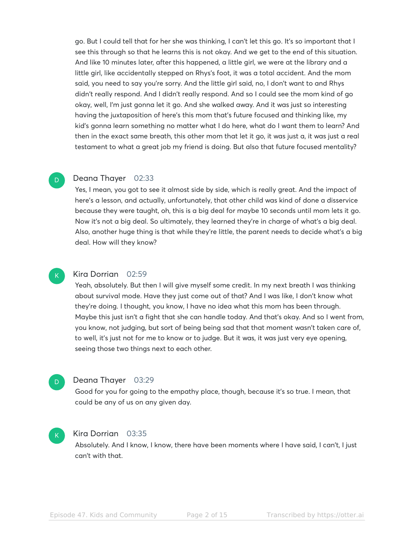go. But I could tell that for her she was thinking, I can't let this go. It's so important that I see this through so that he learns this is not okay. And we get to the end of this situation. And like 10 minutes later, after this happened, a little girl, we were at the library and a little girl, like accidentally stepped on Rhys's foot, it was a total accident. And the mom said, you need to say you're sorry. And the little girl said, no, I don't want to and Rhys didn't really respond. And I didn't really respond. And so I could see the mom kind of go okay, well, I'm just gonna let it go. And she walked away. And it was just so interesting having the juxtaposition of here's this mom that's future focused and thinking like, my kid's gonna learn something no matter what I do here, what do I want them to learn? And then in the exact same breath, this other mom that let it go, it was just a, it was just a real testament to what a great job my friend is doing. But also that future focused mentality?

#### Deana Thayer 02:33

D

K

D

 $\mathsf{K}_{\scriptscriptstyle{+}}$ 

Yes, I mean, you got to see it almost side by side, which is really great. And the impact of here's a lesson, and actually, unfortunately, that other child was kind of done a disservice because they were taught, oh, this is a big deal for maybe 10 seconds until mom lets it go. Now it's not a big deal. So ultimately, they learned they're in charge of what's a big deal. Also, another huge thing is that while they're little, the parent needs to decide what's a big deal. How will they know?

#### Kira Dorrian 02:59

Yeah, absolutely. But then I will give myself some credit. In my next breath I was thinking about survival mode. Have they just come out of that? And I was like, I don't know what they're doing. I thought, you know, I have no idea what this mom has been through. Maybe this just isn't a fight that she can handle today. And that's okay. And so I went from, you know, not judging, but sort of being being sad that that moment wasn't taken care of, to well, it's just not for me to know or to judge. But it was, it was just very eye opening, seeing those two things next to each other.

#### Deana Thayer 03:29

Good for you for going to the empathy place, though, because it's so true. I mean, that could be any of us on any given day.

#### Kira Dorrian 03:35

Absolutely. And I know, I know, there have been moments where I have said, I can't, I just can't with that.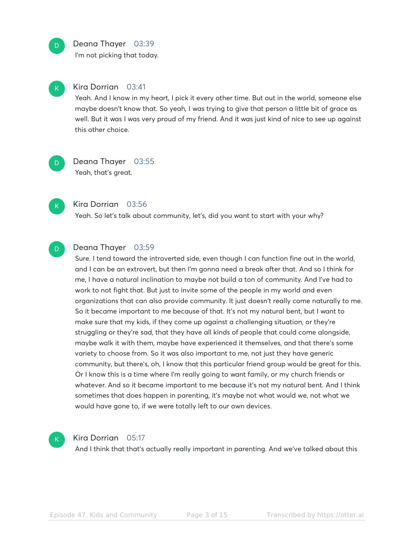### Deana Thayer 03:39

I'm not picking that today.

## Kira Dorrian 03:41

Yeah. And I know in my heart, I pick it every other time. But out in the world, someone else maybe doesn't know that. So yeah, I was trying to give that person a little bit of grace as well. But it was I was very proud of my friend. And it was just kind of nice to see up against this other choice.

D

K

D

K

## Deana Thayer 03:55 Yeah, that's great.

Kira Dorrian 03:56

Yeah. So let's talk about community, let's, did you want to start with your why?

#### Deana Thayer 03:59 D

Sure. I tend toward the introverted side, even though I can function fine out in the world, and I can be an extrovert, but then I'm gonna need a break after that. And so I think for me, I have a natural inclination to maybe not build a ton of community. And I've had to work to not fight that. But just to invite some of the people in my world and even organizations that can also provide community. It just doesn't really come naturally to me. So it became important to me because of that. It's not my natural bent, but I want to make sure that my kids, if they come up against a challenging situation, or they're struggling or they're sad, that they have all kinds of people that could come alongside, maybe walk it with them, maybe have experienced it themselves, and that there's some variety to choose from. So it was also important to me, not just they have generic community, but there's, oh, I know that this particular friend group would be great for this. Or I know this is a time where I'm really going to want family, or my church friends or whatever. And so it became important to me because it's not my natural bent. And I think sometimes that does happen in parenting, it's maybe not what would we, not what we would have gone to, if we were totally left to our own devices.



#### Kira Dorrian 05:17

And I think that that's actually really important in parenting. And we've talked about this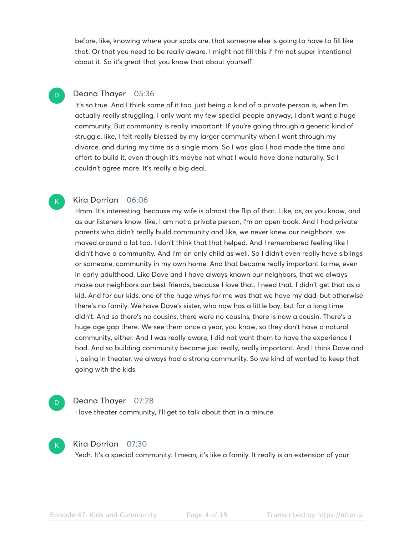before, like, knowing where your spots are, that someone else is going to have to fill like that. Or that you need to be really aware, I might not fill this if I'm not super intentional about it. So it's great that you know that about yourself.

#### Deana Thayer 05:36 D.

It's so true. And I think some of it too, just being a kind of a private person is, when I'm actually really struggling, I only want my few special people anyway, I don't want a huge community. But community is really important. If you're going through a generic kind of struggle, like, I felt really blessed by my larger community when I went through my divorce, and during my time as a single mom. So I was glad I had made the time and effort to build it, even though it's maybe not what I would have done naturally. So I couldn't agree more. It's really a big deal.

#### Kira Dorrian 06:06

Hmm. It's interesting, because my wife is almost the flip of that. Like, as, as you know, and as our listeners know, like, I am not a private person, I'm an open book. And I had private parents who didn't really build community and like, we never knew our neighbors, we moved around a lot too. I don't think that that helped. And I remembered feeling like I didn't have a community. And I'm an only child as well. So I didn't even really have siblings or someone, community in my own home. And that became really important to me, even in early adulthood. Like Dave and I have always known our neighbors, that we always make our neighbors our best friends, because I love that. I need that. I didn't get that as a kid. And for our kids, one of the huge whys for me was that we have my dad, but otherwise there's no family. We have Dave's sister, who now has a little boy, but for a long time didn't. And so there's no cousins, there were no cousins, there is now a cousin. There's a huge age gap there. We see them once a year, you know, so they don't have a natural community, either. And I was really aware, I did not want them to have the experience I had. And so building community became just really, really important. And I think Dave and I, being in theater, we always had a strong community. So we kind of wanted to keep that going with the kids.

# D

 $\mathsf{K}_{\scriptscriptstyle{+}}$ 

#### Deana Thayer 07:28

I love theater community, I'll get to talk about that in a minute.



#### Kira Dorrian 07:30

Yeah. It's a special community. I mean, it's like a family. It really is an extension of your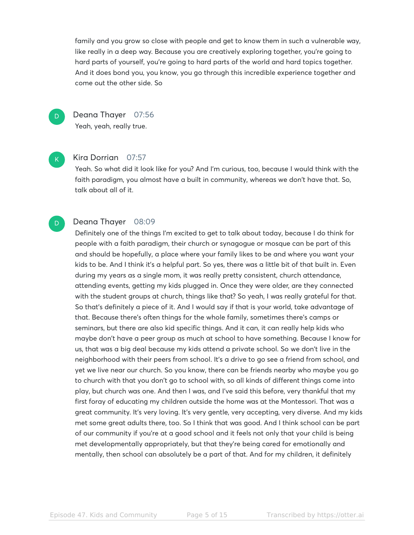family and you grow so close with people and get to know them in such a vulnerable way, like really in a deep way. Because you are creatively exploring together, you're going to hard parts of yourself, you're going to hard parts of the world and hard topics together. And it does bond you, you know, you go through this incredible experience together and come out the other side. So

D

Deana Thayer 07:56 Yeah, yeah, really true.

K

D

#### Kira Dorrian 07:57

Yeah. So what did it look like for you? And I'm curious, too, because I would think with the faith paradigm, you almost have a built in community, whereas we don't have that. So, talk about all of it.

### Deana Thayer 08:09

Definitely one of the things I'm excited to get to talk about today, because I do think for people with a faith paradigm, their church or synagogue or mosque can be part of this and should be hopefully, a place where your family likes to be and where you want your kids to be. And I think it's a helpful part. So yes, there was a little bit of that built in. Even during my years as a single mom, it was really pretty consistent, church attendance, attending events, getting my kids plugged in. Once they were older, are they connected with the student groups at church, things like that? So yeah, I was really grateful for that. So that's definitely a piece of it. And I would say if that is your world, take advantage of that. Because there's often things for the whole family, sometimes there's camps or seminars, but there are also kid specific things. And it can, it can really help kids who maybe don't have a peer group as much at school to have something. Because I know for us, that was a big deal because my kids attend a private school. So we don't live in the neighborhood with their peers from school. It's a drive to go see a friend from school, and yet we live near our church. So you know, there can be friends nearby who maybe you go to church with that you don't go to school with, so all kinds of different things come into play, but church was one. And then I was, and I've said this before, very thankful that my first foray of educating my children outside the home was at the Montessori. That was a great community. It's very loving. It's very gentle, very accepting, very diverse. And my kids met some great adults there, too. So I think that was good. And I think school can be part of our community if you're at a good school and it feels not only that your child is being met developmentally appropriately, but that they're being cared for emotionally and mentally, then school can absolutely be a part of that. And for my children, it definitely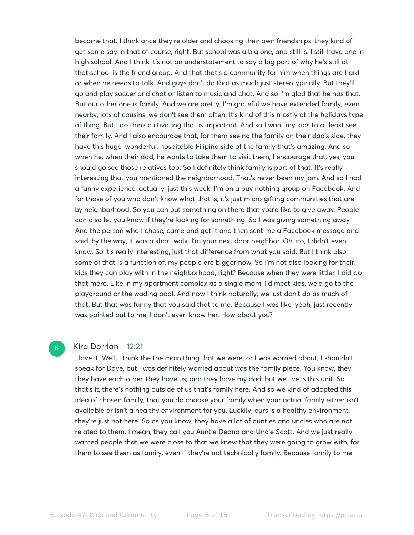became that. I think once they're older and choosing their own friendships, they kind of get some say in that of course, right. But school was a big one, and still is. I still have one in high school. And I think it's not an understatement to say a big part of why he's still at that school is the friend group. And that that's a community for him when things are hard, or when he needs to talk. And guys don't do that as much just stereotypically. But they'll go and play soccer and chat or listen to music and chat. And so I'm glad that he has that. But our other one is family. And we are pretty, I'm grateful we have extended family, even nearby, lots of cousins, we don't see them often. It's kind of this mostly at the holidays type of thing. But I do think cultivating that is important. And so I want my kids to at least see their family. And I also encourage that, for them seeing the family on their dad's side, they have this huge, wonderful, hospitable Filipino side of the family that's amazing. And so when he, when their dad, he wants to take them to visit them, I encourage that, yes, you should go see those relatives too. So I definitely think family is part of that. It's really interesting that you mentioned the neighborhood. That's never been my jam. And so I had a funny experience, actually, just this week. I'm on a buy nothing group on Facebook. And for those of you who don't know what that is, it's just micro gifting communities that are by neighborhood. So you can put something on there that you'd like to give away. People can also let you know if they're looking for something. So I was giving something away. And the person who I chose, came and got it and then sent me a Facebook message and said, by the way, it was a short walk. I'm your next door neighbor. Oh, no, I didn't even know. So it's really interesting, just that difference from what you said. But I think also some of that is a function of, my people are bigger now. So I'm not also looking for their, kids they can play with in the neighborhood, right? Because when they were littler, I did do that more. Like in my apartment complex as a single mom, I'd meet kids, we'd go to the playground or the wading pool. And now I think naturally, we just don't do as much of that. But that was funny that you said that to me. Because I was like, yeah, just recently I was pointed out to me, I don't even know her. How about you?

#### Kira Dorrian 12:21

 $\mathsf{K}_{\scriptscriptstyle{+}}$ 

I love it. Well, I think the the main thing that we were, or I was worried about, I shouldn't speak for Dave, but I was definitely worried about was the family piece. You know, they, they have each other, they have us, and they have my dad, but we live is this unit. So that's it, there's nothing outside of us that's family here. And so we kind of adopted this idea of chosen family, that you do choose your family when your actual family either isn't available or isn't a healthy environment for you. Luckily, ours is a healthy environment, they're just not here. So as you know, they have a lot of aunties and uncles who are not related to them. I mean, they call you Auntie Deana and Uncle Scott. And we just really wanted people that we were close to that we knew that they were going to grow with, for them to see them as family, even if they're not technically family. Because family to me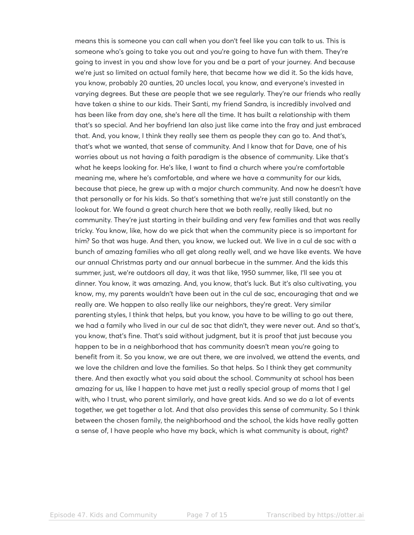means this is someone you can call when you don't feel like you can talk to us. This is someone who's going to take you out and you're going to have fun with them. They're going to invest in you and show love for you and be a part of your journey. And because we're just so limited on actual family here, that became how we did it. So the kids have, you know, probably 20 aunties, 20 uncles local, you know, and everyone's invested in varying degrees. But these are people that we see regularly. They're our friends who really have taken a shine to our kids. Their Santi, my friend Sandra, is incredibly involved and has been like from day one, she's here all the time. It has built a relationship with them that's so special. And her boyfriend Ian also just like came into the fray and just embraced that. And, you know, I think they really see them as people they can go to. And that's, that's what we wanted, that sense of community. And I know that for Dave, one of his worries about us not having a faith paradigm is the absence of community. Like that's what he keeps looking for. He's like, I want to find a church where you're comfortable meaning me, where he's comfortable, and where we have a community for our kids, because that piece, he grew up with a major church community. And now he doesn't have that personally or for his kids. So that's something that we're just still constantly on the lookout for. We found a great church here that we both really, really liked, but no community. They're just starting in their building and very few families and that was really tricky. You know, like, how do we pick that when the community piece is so important for him? So that was huge. And then, you know, we lucked out. We live in a cul de sac with a bunch of amazing families who all get along really well, and we have like events. We have our annual Christmas party and our annual barbecue in the summer. And the kids this summer, just, we're outdoors all day, it was that like, 1950 summer, like, I'll see you at dinner. You know, it was amazing. And, you know, that's luck. But it's also cultivating, you know, my, my parents wouldn't have been out in the cul de sac, encouraging that and we really are. We happen to also really like our neighbors, they're great. Very similar parenting styles, I think that helps, but you know, you have to be willing to go out there, we had a family who lived in our cul de sac that didn't, they were never out. And so that's, you know, that's fine. That's said without judgment, but it is proof that just because you happen to be in a neighborhood that has community doesn't mean you're going to benefit from it. So you know, we are out there, we are involved, we attend the events, and we love the children and love the families. So that helps. So I think they get community there. And then exactly what you said about the school. Community at school has been amazing for us, like I happen to have met just a really special group of moms that I gel with, who I trust, who parent similarly, and have great kids. And so we do a lot of events together, we get together a lot. And that also provides this sense of community. So I think between the chosen family, the neighborhood and the school, the kids have really gotten a sense of, I have people who have my back, which is what community is about, right?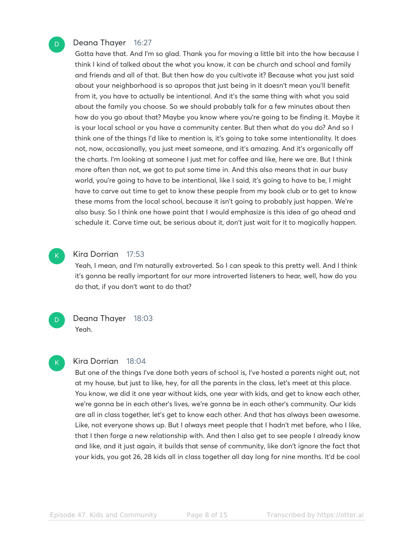### Deana Thayer 16:27

Gotta have that. And I'm so glad. Thank you for moving a little bit into the how because I think I kind of talked about the what you know, it can be church and school and family and friends and all of that. But then how do you cultivate it? Because what you just said about your neighborhood is so apropos that just being in it doesn't mean you'll benefit from it, you have to actually be intentional. And it's the same thing with what you said about the family you choose. So we should probably talk for a few minutes about then how do you go about that? Maybe you know where you're going to be finding it. Maybe it is your local school or you have a community center. But then what do you do? And so I think one of the things I'd like to mention is, it's going to take some intentionality. It does not, now, occasionally, you just meet someone, and it's amazing. And it's organically off the charts. I'm looking at someone I just met for coffee and like, here we are. But I think more often than not, we got to put some time in. And this also means that in our busy world, you're going to have to be intentional, like I said, it's going to have to be, I might have to carve out time to get to know these people from my book club or to get to know these moms from the local school, because it isn't going to probably just happen. We're also busy. So I think one howe point that I would emphasize is this idea of go ahead and schedule it. Carve time out, be serious about it, don't just wait for it to magically happen.



D

K

#### Kira Dorrian 17:53

Yeah, I mean, and I'm naturally extroverted. So I can speak to this pretty well. And I think it's gonna be really important for our more introverted listeners to hear, well, how do you do that, if you don't want to do that?



#### Kira Dorrian 18:04

But one of the things I've done both years of school is, I've hosted a parents night out, not at my house, but just to like, hey, for all the parents in the class, let's meet at this place. You know, we did it one year without kids, one year with kids, and get to know each other, we're gonna be in each other's lives, we're gonna be in each other's community. Our kids are all in class together, let's get to know each other. And that has always been awesome. Like, not everyone shows up. But I always meet people that I hadn't met before, who I like, that I then forge a new relationship with. And then I also get to see people I already know and like, and it just again, it builds that sense of community, like don't ignore the fact that your kids, you got 26, 28 kids all in class together all day long for nine months. It'd be cool

D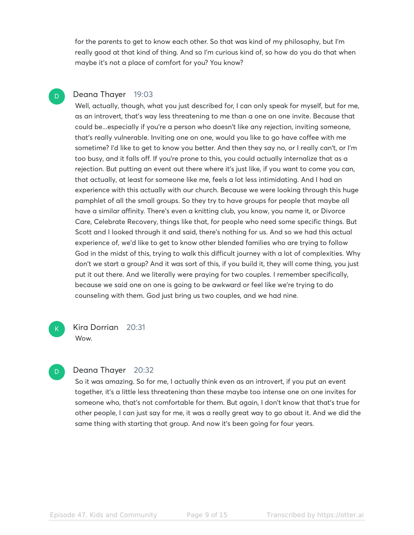for the parents to get to know each other. So that was kind of my philosophy, but I'm really good at that kind of thing. And so I'm curious kind of, so how do you do that when maybe it's not a place of comfort for you? You know?

#### Deana Thayer 19:03 D

Well, actually, though, what you just described for, I can only speak for myself, but for me, as an introvert, that's way less threatening to me than a one on one invite. Because that could be...especially if you're a person who doesn't like any rejection, inviting someone, that's really vulnerable. Inviting one on one, would you like to go have coffee with me sometime? I'd like to get to know you better. And then they say no, or I really can't, or I'm too busy, and it falls off. If you're prone to this, you could actually internalize that as a rejection. But putting an event out there where it's just like, if you want to come you can, that actually, at least for someone like me, feels a lot less intimidating. And I had an experience with this actually with our church. Because we were looking through this huge pamphlet of all the small groups. So they try to have groups for people that maybe all have a similar affinity. There's even a knitting club, you know, you name it, or Divorce Care, Celebrate Recovery, things like that, for people who need some specific things. But Scott and I looked through it and said, there's nothing for us. And so we had this actual experience of, we'd like to get to know other blended families who are trying to follow God in the midst of this, trying to walk this difficult journey with a lot of complexities. Why don't we start a group? And it was sort of this, if you build it, they will come thing, you just put it out there. And we literally were praying for two couples. I remember specifically, because we said one on one is going to be awkward or feel like we're trying to do counseling with them. God just bring us two couples, and we had nine.

Kira Dorrian 20:31 Wow.

### D

 $\mathsf{K}_{\scriptscriptstyle{+}}$ 

#### Deana Thayer 20:32

So it was amazing. So for me, I actually think even as an introvert, if you put an event together, it's a little less threatening than these maybe too intense one on one invites for someone who, that's not comfortable for them. But again, I don't know that that's true for other people, I can just say for me, it was a really great way to go about it. And we did the same thing with starting that group. And now it's been going for four years.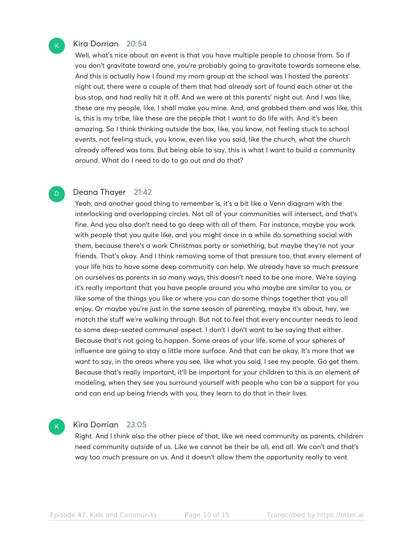### Kira Dorrian 20:54

 $\mathsf{K}_{\scriptscriptstyle{+}}$ 

D

Well, what's nice about an event is that you have multiple people to choose from. So if you don't gravitate toward one, you're probably going to gravitate towards someone else. And this is actually how I found my mom group at the school was I hosted the parents' night out, there were a couple of them that had already sort of found each other at the bus stop, and had really hit it off. And we were at this parents' night out. And I was like, these are my people, like, I shall make you mine. And, and grabbed them and was like, this is, this is my tribe, like these are the people that I want to do life with. And it's been amazing. So I think thinking outside the box, like, you know, not feeling stuck to school events, not feeling stuck, you know, even like you said, like the church, what the church already offered was tons. But being able to say, this is what I want to build a community around. What do I need to do to go out and do that?

#### Deana Thayer 21:42

Yeah, and another good thing to remember is, it's a bit like a Venn diagram with the interlocking and overlapping circles. Not all of your communities will intersect, and that's fine. And you also don't need to go deep with all of them. For instance, maybe you work with people that you quite like, and you might once in a while do something social with them, because there's a work Christmas party or something, but maybe they're not your friends. That's okay. And I think removing some of that pressure too, that every element of your life has to have some deep community can help. We already have so much pressure on ourselves as parents in so many ways, this doesn't need to be one more. We're saying it's really important that you have people around you who maybe are similar to you, or like some of the things you like or where you can do some things together that you all enjoy. Or maybe you're just in the same season of parenting, maybe it's about, hey, we match the stuff we're walking through. But not to feel that every encounter needs to lead to some deep-seated communal aspect. I don't I don't want to be saying that either. Because that's not going to happen. Some areas of your life, some of your spheres of influence are going to stay a little more surface. And that can be okay. It's more that we want to say, in the areas where you see, like what you said, I see my people. Go get them. Because that's really important, it'll be important for your children to this is an element of modeling, when they see you surround yourself with people who can be a support for you and can end up being friends with you, they learn to do that in their lives.

#### Kira Dorrian 23:05

 $\mathsf{K}_{\scriptscriptstyle{+}}$ 

Right. And I think also the other piece of that, like we need community as parents, children need community outside of us. Like we cannot be their be all, end all. We can't and that's way too much pressure on us. And it doesn't allow them the opportunity really to vent

Episode 47. Kids and Community Page 10 of 15 Transcribed by https://otter.ai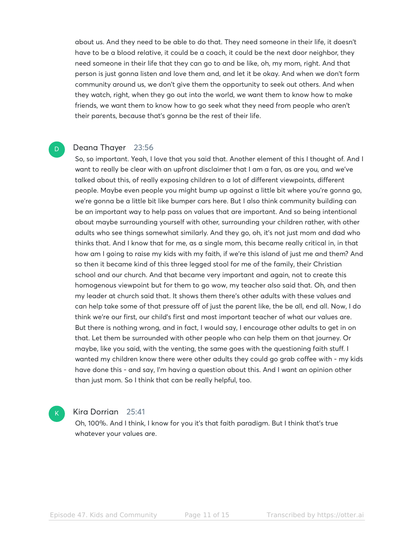about us. And they need to be able to do that. They need someone in their life, it doesn't have to be a blood relative, it could be a coach, it could be the next door neighbor, they need someone in their life that they can go to and be like, oh, my mom, right. And that person is just gonna listen and love them and, and let it be okay. And when we don't form community around us, we don't give them the opportunity to seek out others. And when they watch, right, when they go out into the world, we want them to know how to make friends, we want them to know how to go seek what they need from people who aren't their parents, because that's gonna be the rest of their life.

#### Deana Thayer 23:56 D

So, so important. Yeah, I love that you said that. Another element of this I thought of. And I want to really be clear with an upfront disclaimer that I am a fan, as are you, and we've talked about this, of really exposing children to a lot of different viewpoints, different people. Maybe even people you might bump up against a little bit where you're gonna go, we're gonna be a little bit like bumper cars here. But I also think community building can be an important way to help pass on values that are important. And so being intentional about maybe surrounding yourself with other, surrounding your children rather, with other adults who see things somewhat similarly. And they go, oh, it's not just mom and dad who thinks that. And I know that for me, as a single mom, this became really critical in, in that how am I going to raise my kids with my faith, if we're this island of just me and them? And so then it became kind of this three legged stool for me of the family, their Christian school and our church. And that became very important and again, not to create this homogenous viewpoint but for them to go wow, my teacher also said that. Oh, and then my leader at church said that. It shows them there's other adults with these values and can help take some of that pressure off of just the parent like, the be all, end all. Now, I do think we're our first, our child's first and most important teacher of what our values are. But there is nothing wrong, and in fact, I would say, I encourage other adults to get in on that. Let them be surrounded with other people who can help them on that journey. Or maybe, like you said, with the venting, the same goes with the questioning faith stuff. I wanted my children know there were other adults they could go grab coffee with - my kids have done this - and say, I'm having a question about this. And I want an opinion other than just mom. So I think that can be really helpful, too.

#### Kira Dorrian 25:41

 $\mathsf{K}_{\scriptscriptstyle{+}}$ 

Oh, 100%. And I think, I know for you it's that faith paradigm. But I think that's true whatever your values are.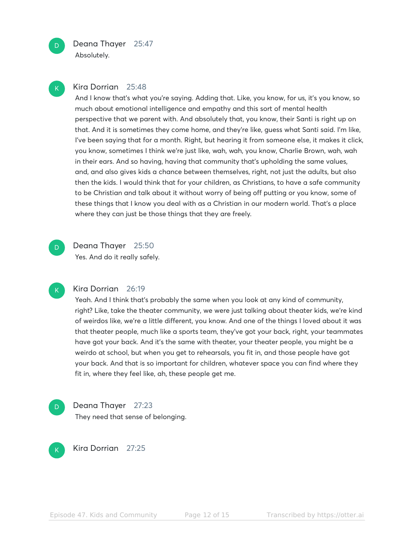

Absolutely.

# K

D

### Kira Dorrian 25:48

And I know that's what you're saying. Adding that. Like, you know, for us, it's you know, so much about emotional intelligence and empathy and this sort of mental health perspective that we parent with. And absolutely that, you know, their Santi is right up on that. And it is sometimes they come home, and they're like, guess what Santi said. I'm like, I've been saying that for a month. Right, but hearing it from someone else, it makes it click, you know, sometimes I think we're just like, wah, wah, you know, Charlie Brown, wah, wah in their ears. And so having, having that community that's upholding the same values, and, and also gives kids a chance between themselves, right, not just the adults, but also then the kids. I would think that for your children, as Christians, to have a safe community to be Christian and talk about it without worry of being off putting or you know, some of these things that I know you deal with as a Christian in our modern world. That's a place where they can just be those things that they are freely.

D

Deana Thayer 25:50 Yes. And do it really safely.



#### Kira Dorrian 26:19

Yeah. And I think that's probably the same when you look at any kind of community, right? Like, take the theater community, we were just talking about theater kids, we're kind of weirdos like, we're a little different, you know. And one of the things I loved about it was that theater people, much like a sports team, they've got your back, right, your teammates have got your back. And it's the same with theater, your theater people, you might be a weirdo at school, but when you get to rehearsals, you fit in, and those people have got your back. And that is so important for children, whatever space you can find where they fit in, where they feel like, ah, these people get me.

Deana Thayer 27:23 They need that sense of belonging. D.



Kira Dorrian 27:25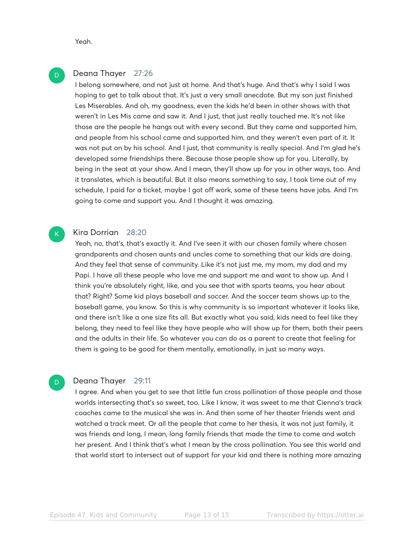Yeah.

D

 $\mathsf{K}_{\scriptscriptstyle{+}}$ 

D

#### Deana Thayer 27:26

I belong somewhere, and not just at home. And that's huge. And that's why I said I was hoping to get to talk about that. It's just a very small anecdote. But my son just finished Les Miserables. And oh, my goodness, even the kids he'd been in other shows with that weren't in Les Mis came and saw it. And I just, that just really touched me. It's not like those are the people he hangs out with every second. But they came and supported him, and people from his school came and supported him, and they weren't even part of it. It was not put on by his school. And I just, that community is really special. And I'm glad he's developed some friendships there. Because those people show up for you. Literally, by being in the seat at your show. And I mean, they'll show up for you in other ways, too. And it translates, which is beautiful. But it also means something to say, I took time out of my schedule, I paid for a ticket, maybe I got off work, some of these teens have jobs. And I'm going to come and support you. And I thought it was amazing.

#### Kira Dorrian 28:20

Yeah, no, that's, that's exactly it. And I've seen it with our chosen family where chosen grandparents and chosen aunts and uncles come to something that our kids are doing. And they feel that sense of community. Like it's not just me, my mom, my dad and my Papi. I have all these people who love me and support me and want to show up. And I think you're absolutely right, like, and you see that with sports teams, you hear about that? Right? Some kid plays baseball and soccer. And the soccer team shows up to the baseball game, you know. So this is why community is so important whatever it looks like, and there isn't like a one size fits all. But exactly what you said, kids need to feel like they belong, they need to feel like they have people who will show up for them, both their peers and the adults in their life. So whatever you can do as a parent to create that feeling for them is going to be good for them mentally, emotionally, in just so many ways.

#### Deana Thayer 29:11

I agree. And when you get to see that little fun cross pollination of those people and those worlds intersecting that's so sweet, too. Like I know, it was sweet to me that Cienna's track coaches came to the musical she was in. And then some of her theater friends went and watched a track meet. Or all the people that came to her thesis, it was not just family, it was friends and long, I mean, long family friends that made the time to come and watch her present. And I think that's what I mean by the cross pollination. You see this world and that world start to intersect out of support for your kid and there is nothing more amazing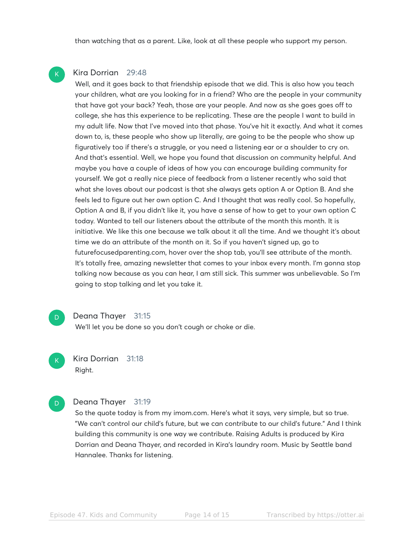than watching that as a parent. Like, look at all these people who support my person.

#### Kira Dorrian 29:48

K

D.

 $\mathsf{K}_{\scriptscriptstyle{+}}$ 

Well, and it goes back to that friendship episode that we did. This is also how you teach your children, what are you looking for in a friend? Who are the people in your community that have got your back? Yeah, those are your people. And now as she goes goes off to college, she has this experience to be replicating. These are the people I want to build in my adult life. Now that I've moved into that phase. You've hit it exactly. And what it comes down to, is, these people who show up literally, are going to be the people who show up figuratively too if there's a struggle, or you need a listening ear or a shoulder to cry on. And that's essential. Well, we hope you found that discussion on community helpful. And maybe you have a couple of ideas of how you can encourage building community for yourself. We got a really nice piece of feedback from a listener recently who said that what she loves about our podcast is that she always gets option A or Option B. And she feels led to figure out her own option C. And I thought that was really cool. So hopefully, Option A and B, if you didn't like it, you have a sense of how to get to your own option C today. Wanted to tell our listeners about the attribute of the month this month. It is initiative. We like this one because we talk about it all the time. And we thought it's about time we do an attribute of the month on it. So if you haven't signed up, go to futurefocusedparenting.com, hover over the shop tab, you'll see attribute of the month. It's totally free, amazing newsletter that comes to your inbox every month. I'm gonna stop talking now because as you can hear, I am still sick. This summer was unbelievable. So I'm going to stop talking and let you take it.

#### Deana Thayer 31:15

We'll let you be done so you don't cough or choke or die.

Kira Dorrian 31:18 Right.

#### Deana Thayer 31:19 D.

So the quote today is from my imom.com. Here's what it says, very simple, but so true. "We can't control our child's future, but we can contribute to our child's future." And I think building this community is one way we contribute. Raising Adults is produced by Kira Dorrian and Deana Thayer, and recorded in Kira's laundry room. Music by Seattle band Hannalee. Thanks for listening.